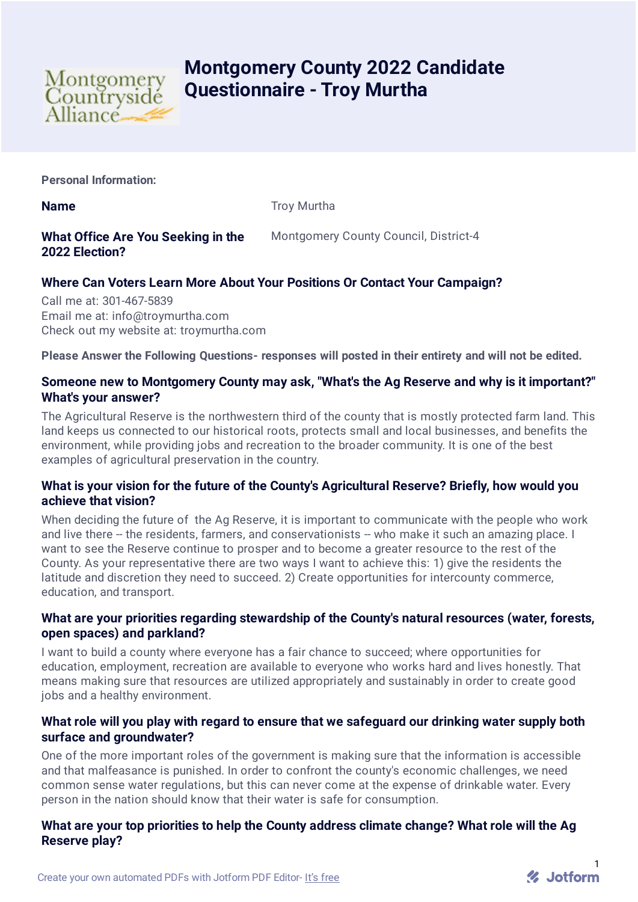

# **Montgomery County 2022 Candidate Questionnaire - Troy Murtha**

**Personal Information:**

**Name** Troy Murtha

### **What Office Are You Seeking in the 2022 Election?**

Montgomery County Council, District-4

## **Where Can Voters Learn More About Your Positions Or Contact Your Campaign?**

Call me at: 301-467-5839 Email me at: info@troymurtha.com Check out my website at: troymurtha.com

**Please Answer the Following Questions- responses will posted in their entirety and will not be edited.**

#### **Someone new to Montgomery County may ask, "What's the Ag Reserve and why is it important?" What's your answer?**

The Agricultural Reserve is the northwestern third of the county that is mostly protected farm land. This land keeps us connected to our historical roots, protects small and local businesses, and benefits the environment, while providing jobs and recreation to the broader community. It is one of the best examples of agricultural preservation in the country.

#### **What is your vision for the future of the County's Agricultural Reserve? Briefly, how would you achieve that vision?**

When deciding the future of the Ag Reserve, it is important to communicate with the people who work and live there -- the residents, farmers, and conservationists -- who make it such an amazing place. I want to see the Reserve continue to prosper and to become a greater resource to the rest of the County. As your representative there are two ways I want to achieve this: 1) give the residents the latitude and discretion they need to succeed. 2) Create opportunities for intercounty commerce, education, and transport.

#### **What are your priorities regarding stewardship of the County's natural resources (water, forests, open spaces) and parkland?**

I want to build a county where everyone has a fair chance to succeed; where opportunities for education, employment, recreation are available to everyone who works hard and lives honestly. That means making sure that resources are utilized appropriately and sustainably in order to create good jobs and a healthy environment.

#### **What role will you play with regard to ensure that we safeguard our drinking water supply both surface and groundwater?**

One of the more important roles of the government is making sure that the information is accessible and that malfeasance is punished. In order to confront the county's economic challenges, we need common sense water regulations, but this can never come at the expense of drinkable water. Every person in the nation should know that their water is safe for consumption.

#### **What are your top priorities to help the County address climate change? What role will the Ag Reserve play?**